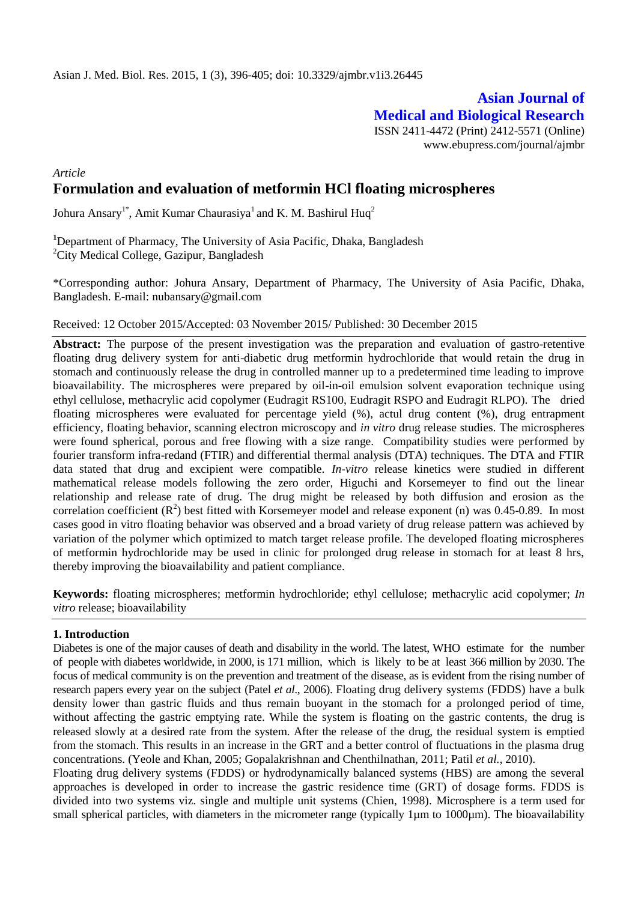# **Asian Journal of Medical and Biological Research** ISSN 2411-4472 (Print) 2412-5571 (Online)

www.ebupress.com/journal/ajmbr

# *Article*

# **Formulation and evaluation of metformin HCl floating microspheres**

Johura Ansary<sup>1\*</sup>, Amit Kumar Chaurasiya<sup>1</sup> and K. M. Bashirul Huq<sup>2</sup>

**<sup>1</sup>**Department of Pharmacy, The University of Asia Pacific, Dhaka, Bangladesh <sup>2</sup>City Medical College, Gazipur, Bangladesh

\*Corresponding author: Johura Ansary, Department of Pharmacy, The University of Asia Pacific, Dhaka, Bangladesh. E-mail: nubansary@gmail.com

#### Received: 12 October 2015/Accepted: 03 November 2015/ Published: 30 December 2015

**Abstract:** The purpose of the present investigation was the preparation and evaluation of gastro-retentive floating drug delivery system for anti-diabetic drug metformin hydrochloride that would retain the drug in stomach and continuously release the drug in controlled manner up to a predetermined time leading to improve bioavailability. The microspheres were prepared by oil-in-oil emulsion solvent evaporation technique using ethyl cellulose, methacrylic acid copolymer (Eudragit RS100, Eudragit RSPO and Eudragit RLPO). The dried floating microspheres were evaluated for percentage yield (%), actul drug content (%), drug entrapment efficiency, floating behavior, scanning electron microscopy and *in vitro* drug release studies. The microspheres were found spherical, porous and free flowing with a size range. Compatibility studies were performed by fourier transform infra-redand (FTIR) and differential thermal analysis (DTA) techniques. The DTA and FTIR data stated that drug and excipient were compatible. *In-vitro* release kinetics were studied in different mathematical release models following the zero order, Higuchi and Korsemeyer to find out the linear relationship and release rate of drug. The drug might be released by both diffusion and erosion as the correlation coefficient  $(R^2)$  best fitted with Korsemeyer model and release exponent (n) was 0.45-0.89. In most cases good in vitro floating behavior was observed and a broad variety of drug release pattern was achieved by variation of the polymer which optimized to match target release profile. The developed floating microspheres of metformin hydrochloride may be used in clinic for prolonged drug release in stomach for at least 8 hrs, thereby improving the bioavailability and patient compliance.

**Keywords:** floating microspheres; metformin hydrochloride; ethyl cellulose; methacrylic acid copolymer; *In vitro* release; bioavailability

# **1. Introduction**

Diabetes is one of the major causes of death and disability in the world. The latest, WHO estimate for the number of people with diabetes worldwide, in 2000, is 171 million, which is likely to be at least 366 million by 2030. The focus of medical community is on the prevention and treatment of the disease, as is evident from the rising number of research papers every year on the subject (Patel *et al*., 2006). Floating drug delivery system*s* (FDDS) have a bulk density lower than gastric fluids and thus remain buoyant in the stomach for a prolonged period of time, without affecting the gastric emptying rate. While the system is floating on the gastric contents, the drug is released slowly at a desired rate from the system. After the release of the drug, the residual system is emptied from the stomach. This results in an increase in the GRT and a better control of fluctuations in the plasma drug concentrations. (Yeole and Khan, 2005; Gopalakrishnan and Chenthilnathan, 2011; Patil *et al.*, 2010).

Floating drug delivery systems (FDDS) or hydrodynamically balanced systems (HBS) are among the several approaches is developed in order to increase the gastric residence time (GRT) of dosage forms. FDDS is divided into two systems viz. single and multiple unit systems (Chien, 1998). Microsphere is a term used for small spherical particles, with diameters in the micrometer range (typically 1µm to 1000µm). The bioavailability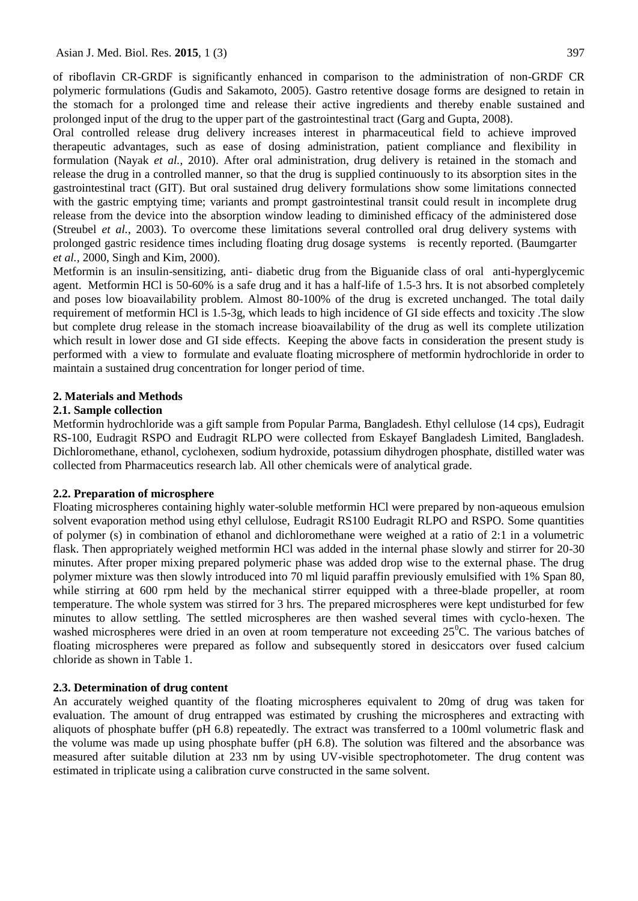of riboflavin CR-GRDF is significantly enhanced in comparison to the administration of non-GRDF CR polymeric formulations (Gudis and Sakamoto, 2005). Gastro retentive dosage forms are designed to retain in the stomach for a prolonged time and release their active ingredients and thereby enable sustained and prolonged input of the drug to the upper part of the gastrointestinal tract (Garg and Gupta, 2008).

Oral controlled release drug delivery increases interest in pharmaceutical field to achieve improved therapeutic advantages, such as ease of dosing administration, patient compliance and flexibility in formulation (Nayak *et al.*, 2010). After oral administration, drug delivery is retained in the stomach and release the drug in a controlled manner, so that the drug is supplied continuously to its absorption sites in the gastrointestinal tract (GIT). But oral sustained drug delivery formulations show some limitations connected with the gastric emptying time; variants and prompt gastrointestinal transit could result in incomplete drug release from the device into the absorption window leading to diminished efficacy of the administered dose (Streubel *et al.*, 2003). To overcome these limitations several controlled oral drug delivery systems with prolonged gastric residence times including floating drug dosage systems is recently reported. (Baumgarter *et al.,* 2000, Singh and Kim, 2000).

Metformin is an insulin-sensitizing, anti- diabetic drug from the Biguanide class of oral anti-hyperglycemic agent. Metformin HCl is 50-60% is a safe drug and it has a half-life of 1.5-3 hrs. It is not absorbed completely and poses low bioavailability problem. Almost 80-100% of the drug is excreted unchanged. The total daily requirement of metformin HCl is 1.5-3g, which leads to high incidence of GI side effects and toxicity .The slow but complete drug release in the stomach increase bioavailability of the drug as well its complete utilization which result in lower dose and GI side effects. Keeping the above facts in consideration the present study is performed with a view to formulate and evaluate floating microsphere of metformin hydrochloride in order to maintain a sustained drug concentration for longer period of time.

#### **2. Materials and Methods**

#### **2.1. Sample collection**

Metformin hydrochloride was a gift sample from Popular Parma, Bangladesh. Ethyl cellulose (14 cps), Eudragit RS-100, Eudragit RSPO and Eudragit RLPO were collected from Eskayef Bangladesh Limited, Bangladesh. Dichloromethane, ethanol, cyclohexen, sodium hydroxide, potassium dihydrogen phosphate, distilled water was collected from Pharmaceutics research lab. All other chemicals were of analytical grade.

#### **2.2. Preparation of microsphere**

Floating microspheres containing highly water-soluble metformin HCl were prepared by non-aqueous emulsion solvent evaporation method using ethyl cellulose, Eudragit RS100 Eudragit RLPO and RSPO. Some quantities of polymer (s) in combination of ethanol and dichloromethane were weighed at a ratio of 2:1 in a volumetric flask. Then appropriately weighed metformin HCl was added in the internal phase slowly and stirrer for 20-30 minutes. After proper mixing prepared polymeric phase was added drop wise to the external phase. The drug polymer mixture was then slowly introduced into 70 ml liquid paraffin previously emulsified with 1% Span 80, while stirring at 600 rpm held by the mechanical stirrer equipped with a three-blade propeller, at room temperature. The whole system was stirred for 3 hrs. The prepared microspheres were kept undisturbed for few minutes to allow settling. The settled microspheres are then washed several times with cyclo-hexen. The washed microspheres were dried in an oven at room temperature not exceeding  $25^{\circ}$ C. The various batches of floating microspheres were prepared as follow and subsequently stored in desiccators over fused calcium chloride as shown in Table 1.

#### **2.3. Determination of drug content**

An accurately weighed quantity of the floating microspheres equivalent to 20mg of drug was taken for evaluation. The amount of drug entrapped was estimated by crushing the microspheres and extracting with aliquots of phosphate buffer (pH 6.8) repeatedly. The extract was transferred to a 100ml volumetric flask and the volume was made up using phosphate buffer (pH 6.8). The solution was filtered and the absorbance was measured after suitable dilution at 233 nm by using UV-visible spectrophotometer. The drug content was estimated in triplicate using a calibration curve constructed in the same solvent.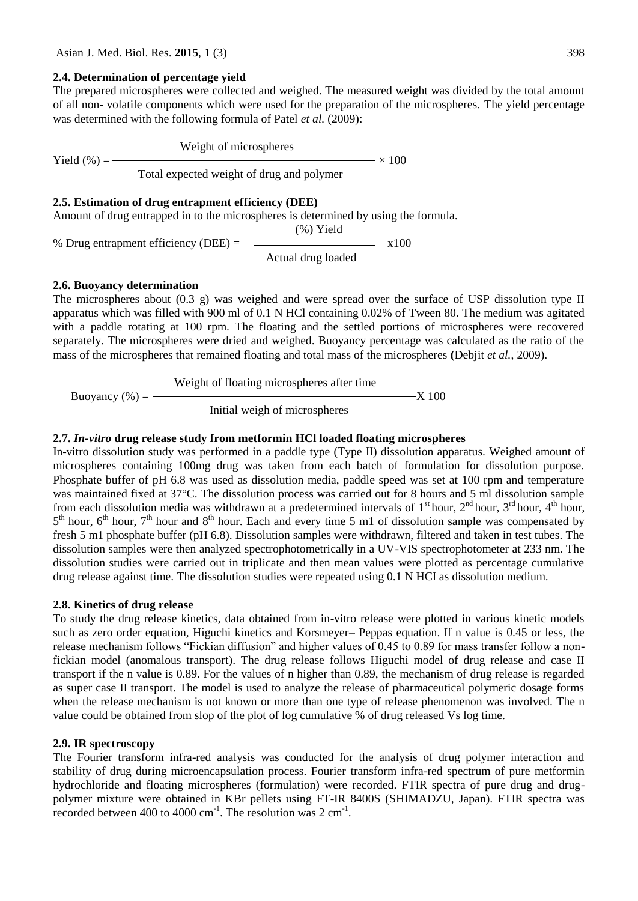# **2.4. Determination of percentage yield**

The prepared microspheres were collected and weighed. The measured weight was divided by the total amount of all non- volatile components which were used for the preparation of the microspheres. The yield percentage was determined with the following formula of Patel *et al.* (2009):

Weight of microspheres

Yield  $(\% ) =$   $\frac{100}{200} \times 100$ 

Total expected weight of drug and polymer

# **2.5. Estimation of drug entrapment efficiency (DEE)**

Amount of drug entrapped in to the microspheres is determined by using the formula.

(%) Yield

% Drug entrapment efficiency (DEE) =  $\sim$  x100

Actual drug loaded

# **2.6. Buoyancy determination**

The microspheres about (0.3 g) was weighed and were spread over the surface of USP dissolution type II apparatus which was filled with 900 ml of 0.1 N HCl containing 0.02% of Tween 80. The medium was agitated with a paddle rotating at 100 rpm. The floating and the settled portions of microspheres were recovered separately. The microspheres were dried and weighed. Buoyancy percentage was calculated as the ratio of the mass of the microspheres that remained floating and total mass of the microspheres **(**Debjit *et al.*, 2009).

Weight of floating microspheres after time

Buoyancy  $(\%) =$  X 100

Initial weigh of microspheres

# **2.7.** *In-vitro* **drug release study from metformin HCl loaded floating microspheres**

In-vitro dissolution study was performed in a paddle type (Type II) dissolution apparatus. Weighed amount of microspheres containing 100mg drug was taken from each batch of formulation for dissolution purpose. Phosphate buffer of pH 6.8 was used as dissolution media, paddle speed was set at 100 rpm and temperature was maintained fixed at 37°C. The dissolution process was carried out for 8 hours and 5 ml dissolution sample from each dissolution media was withdrawn at a predetermined intervals of  $1<sup>st</sup>$  hour,  $2<sup>nd</sup>$  hour,  $4<sup>th</sup>$  hour,  $5<sup>th</sup>$  hour,  $6<sup>th</sup>$  hour,  $7<sup>th</sup>$  hour and  $8<sup>th</sup>$  hour. Each and every time 5 m1 of dissolution sample was compensated by fresh 5 m1 phosphate buffer (pH 6.8). Dissolution samples were withdrawn, filtered and taken in test tubes. The dissolution samples were then analyzed spectrophotometrically in a UV-VIS spectrophotometer at 233 nm. The dissolution studies were carried out in triplicate and then mean values were plotted as percentage cumulative drug release against time. The dissolution studies were repeated using 0.1 N HCI as dissolution medium.

# **2.8. Kinetics of drug release**

To study the drug release kinetics, data obtained from in-vitro release were plotted in various kinetic models such as zero order equation, Higuchi kinetics and Korsmeyer– Peppas equation. If n value is 0.45 or less, the release mechanism follows "Fickian diffusion" and higher values of 0.45 to 0.89 for mass transfer follow a nonfickian model (anomalous transport). The drug release follows Higuchi model of drug release and case II transport if the n value is 0.89. For the values of n higher than 0.89, the mechanism of drug release is regarded as super case II transport. The model is used to analyze the release of pharmaceutical polymeric dosage forms when the release mechanism is not known or more than one type of release phenomenon was involved. The n value could be obtained from slop of the plot of log cumulative % of drug released Vs log time.

# **2.9. IR spectroscopy**

The Fourier transform infra-red analysis was conducted for the analysis of drug polymer interaction and stability of drug during microencapsulation process. Fourier transform infra-red spectrum of pure metformin hydrochloride and floating microspheres (formulation) were recorded. FTIR spectra of pure drug and drugpolymer mixture were obtained in KBr pellets using FT-IR 8400S (SHIMADZU, Japan). FTIR spectra was recorded between 400 to 4000 cm<sup>-1</sup>. The resolution was  $2 \text{ cm}^{-1}$ .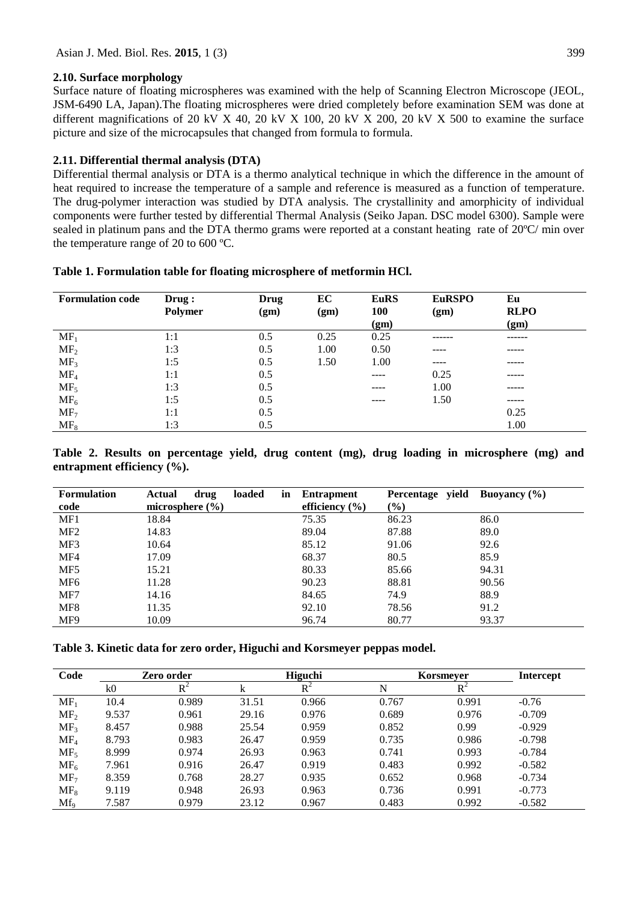# **2.10. Surface morphology**

Surface nature of floating microspheres was examined with the help of Scanning Electron Microscope (JEOL, JSM-6490 LA, Japan).The floating microspheres were dried completely before examination SEM was done at different magnifications of 20 kV X 40, 20 kV X 100, 20 kV X 200, 20 kV X 500 to examine the surface picture and size of the microcapsules that changed from formula to formula.

# **2.11. Differential thermal analysis (DTA)**

Differential thermal analysis or DTA is a thermo analytical technique in which the difference in the amount of heat required to increase the temperature of a sample and reference is measured as a function of temperature. The drug-polymer interaction was studied by DTA analysis. The crystallinity and amorphicity of individual components were further tested by differential Thermal Analysis (Seiko Japan. DSC model 6300). Sample were sealed in platinum pans and the DTA thermo grams were reported at a constant heating rate of 20ºC/ min over the temperature range of 20 to 600 ºC.

| <b>Formulation code</b> | Draw:<br><b>Polymer</b> | Drug<br>(gm) | EC<br>(gm) | <b>EuRS</b><br><b>100</b><br>(gm) | <b>EuRSPO</b><br>(gm) | Eu<br><b>RLPO</b><br>(gm) |
|-------------------------|-------------------------|--------------|------------|-----------------------------------|-----------------------|---------------------------|
| MF <sub>1</sub>         | 1:1                     | 0.5          | 0.25       | 0.25                              | ------                | ------                    |
| MF <sub>2</sub>         | 1:3                     | 0.5          | 1.00       | 0.50                              | ----                  | -----                     |
| MF <sub>3</sub>         | 1:5                     | 0.5          | 1.50       | 1.00                              | ----                  | -----                     |
| MF <sub>4</sub>         | 1:1                     | 0.5          |            | ----                              | 0.25                  | -----                     |
| MF <sub>5</sub>         | 1:3                     | 0.5          |            | ----                              | 1.00                  | -----                     |
| MF <sub>6</sub>         | 1:5                     | 0.5          |            | ----                              | 1.50                  | -----                     |
| MF <sub>7</sub>         | 1:1                     | 0.5          |            |                                   |                       | 0.25                      |
| $MF_8$                  | 1:3                     | 0.5          |            |                                   |                       | 1.00                      |

**Table 2. Results on percentage yield, drug content (mg), drug loading in microsphere (mg) and entrapment efficiency (%).**

| <b>Formulation</b> | Actual<br>drug      | loaded | <b>Entrapment</b><br>in | Percentage yield | Buoyancy $(\% )$ |
|--------------------|---------------------|--------|-------------------------|------------------|------------------|
| code               | microsphere $(\% )$ |        | efficiency $(\% )$      | $(\%)$           |                  |
| MF1                | 18.84               |        | 75.35                   | 86.23            | 86.0             |
| MF <sub>2</sub>    | 14.83               |        | 89.04                   | 87.88            | 89.0             |
| MF3                | 10.64               |        | 85.12                   | 91.06            | 92.6             |
| MF4                | 17.09               |        | 68.37                   | 80.5             | 85.9             |
| MF <sub>5</sub>    | 15.21               |        | 80.33                   | 85.66            | 94.31            |
| MF <sub>6</sub>    | 11.28               |        | 90.23                   | 88.81            | 90.56            |
| MF7                | 14.16               |        | 84.65                   | 74.9             | 88.9             |
| MF8                | 11.35               |        | 92.10                   | 78.56            | 91.2             |
| MF9                | 10.09               |        | 96.74                   | 80.77            | 93.37            |

**Table 3. Kinetic data for zero order, Higuchi and Korsmeyer peppas model.**

| Code            | Zero order |       |       | <b>Higuchi</b> |       | Korsmeyer      |          |
|-----------------|------------|-------|-------|----------------|-------|----------------|----------|
|                 | k0         | $R^2$ | k     | $R^2$          | N     | $\mathrm{R}^2$ |          |
| $MF_1$          | 10.4       | 0.989 | 31.51 | 0.966          | 0.767 | 0.991          | $-0.76$  |
| MF <sub>2</sub> | 9.537      | 0.961 | 29.16 | 0.976          | 0.689 | 0.976          | $-0.709$ |
| MF <sub>3</sub> | 8.457      | 0.988 | 25.54 | 0.959          | 0.852 | 0.99           | $-0.929$ |
| MF <sub>4</sub> | 8.793      | 0.983 | 26.47 | 0.959          | 0.735 | 0.986          | $-0.798$ |
| MF <sub>5</sub> | 8.999      | 0.974 | 26.93 | 0.963          | 0.741 | 0.993          | $-0.784$ |
| $MF_6$          | 7.961      | 0.916 | 26.47 | 0.919          | 0.483 | 0.992          | $-0.582$ |
| MF <sub>7</sub> | 8.359      | 0.768 | 28.27 | 0.935          | 0.652 | 0.968          | $-0.734$ |
| $MF_8$          | 9.119      | 0.948 | 26.93 | 0.963          | 0.736 | 0.991          | $-0.773$ |
| $Mf_{9}$        | 7.587      | 0.979 | 23.12 | 0.967          | 0.483 | 0.992          | $-0.582$ |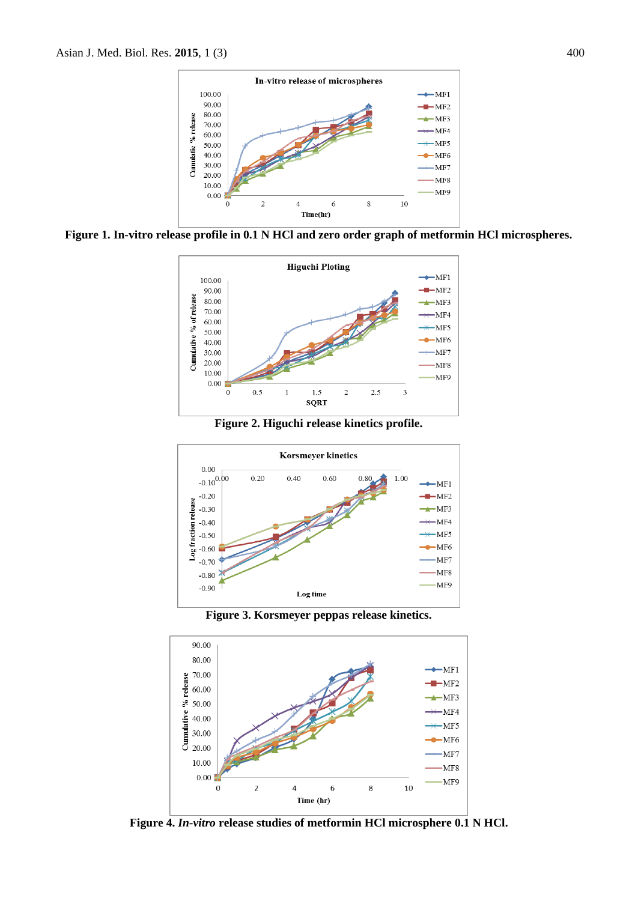

**Figure 1. In-vitro release profile in 0.1 N HCl and zero order graph of metformin HCl microspheres.**



**Figure 2. Higuchi release kinetics profile.**



**Figure 3. Korsmeyer peppas release kinetics.**



**Figure 4.** *In-vitro* **release studies of metformin HCl microsphere 0.1 N HCl.**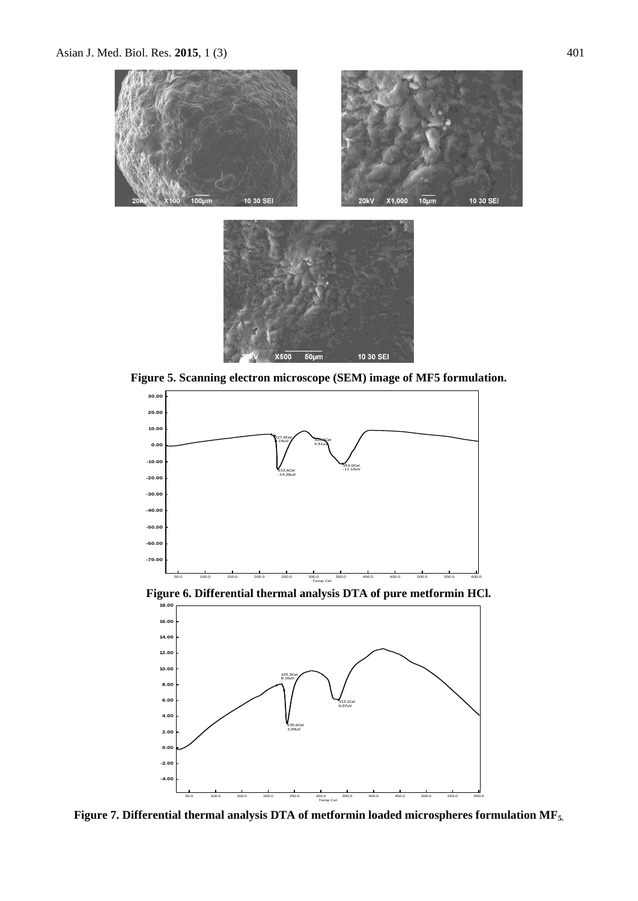



10 30 SEI

 $50 \mu m$ 

**X500** 



**Figure 6. Differential thermal analysis DTA of pure metformin HCl.**



**Figure 7. Differential thermal analysis DTA of metformin loaded microspheres formulation MF5.**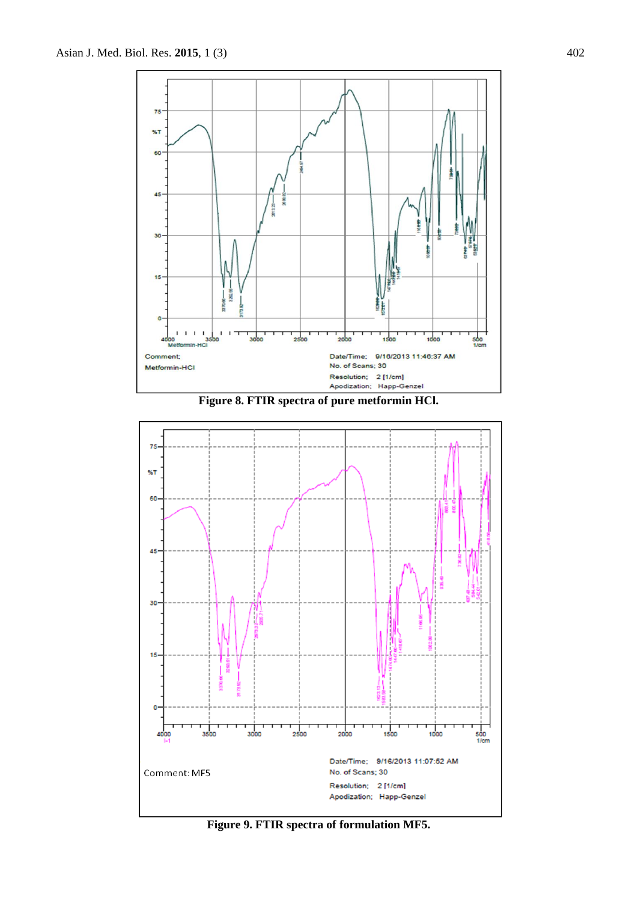





**Figure 9. FTIR spectra of formulation MF5.**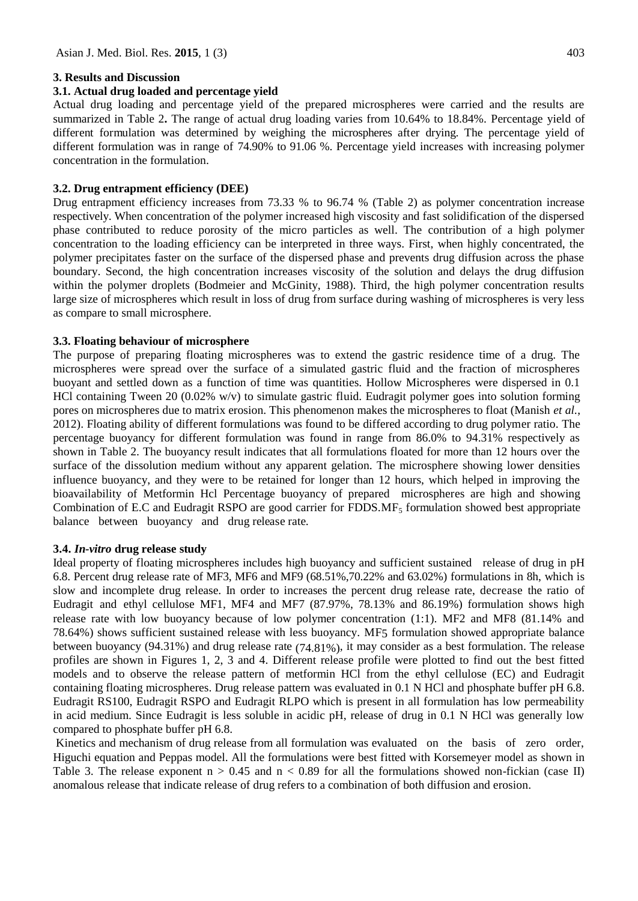# **3. Results and Discussion**

# **3.1. Actual drug loaded and percentage yield**

Actual drug loading and percentage yield of the prepared microspheres were carried and the results are summarized in Table 2**.** The range of actual drug loading varies from 10.64% to 18.84%. Percentage yield of different formulation was determined by weighing the microspheres after drying. The percentage yield of different formulation was in range of 74.90% to 91.06 %. Percentage yield increases with increasing polymer concentration in the formulation.

# **3.2. Drug entrapment efficiency (DEE)**

Drug entrapment efficiency increases from 73.33 % to 96.74 % (Table 2) as polymer concentration increase respectively. When concentration of the polymer increased high viscosity and fast solidification of the dispersed phase contributed to reduce porosity of the micro particles as well. The contribution of a high polymer concentration to the loading efficiency can be interpreted in three ways. First, when highly concentrated, the polymer precipitates faster on the surface of the dispersed phase and prevents drug diffusion across the phase boundary. Second, the high concentration increases viscosity of the solution and delays the drug diffusion within the polymer droplets (Bodmeier and McGinity, 1988). Third, the high polymer concentration results large size of microspheres which result in loss of drug from surface during washing of microspheres is very less as compare to small microsphere.

# **3.3. Floating behaviour of microsphere**

The purpose of preparing floating microspheres was to extend the gastric residence time of a drug. The microspheres were spread over the surface of a simulated gastric fluid and the fraction of microspheres buoyant and settled down as a function of time was quantities. Hollow Microspheres were dispersed in 0.1 HCl containing Tween 20 (0.02% w/v) to simulate gastric fluid. Eudragit polymer goes into solution forming pores on microspheres due to matrix erosion. This phenomenon makes the microspheres to float (Manish *et al.*, 2012). Floating ability of different formulations was found to be differed according to drug polymer ratio. The percentage buoyancy for different formulation was found in range from 86.0% to 94.31% respectively as shown in Table 2. The buoyancy result indicates that all formulations floated for more than 12 hours over the surface of the dissolution medium without any apparent gelation. The microsphere showing lower densities influence buoyancy, and they were to be retained for longer than 12 hours, which helped in improving the bioavailability of Metformin Hcl Percentage buoyancy of prepared microspheres are high and showing Combination of E.C and Eudragit RSPO are good carrier for FDDS.  $MF<sub>5</sub>$  formulation showed best appropriate balance between buoyancy and drug release rate.

# **3.4.** *In-vitro* **drug release study**

Ideal property of floating microspheres includes high buoyancy and sufficient sustained release of drug in pH 6.8. Percent drug release rate of MF3, MF6 and MF9 (68.51%,70.22% and 63.02%) formulations in 8h, which is slow and incomplete drug release. In order to increases the percent drug release rate, decrease the ratio of Eudragit and ethyl cellulose MF1, MF4 and MF7 (87.97%, 78.13% and 86.19%) formulation shows high release rate with low buoyancy because of low polymer concentration (1:1). MF2 and MF8 (81.14% and 78.64%) shows sufficient sustained release with less buoyancy. MF5 formulation showed appropriate balance between buoyancy (94.31%) and drug release rate (74.81%), it may consider as a best formulation. The release profiles are shown in Figures 1, 2, 3 and 4. Different release profile were plotted to find out the best fitted models and to observe the release pattern of metformin HCl from the ethyl cellulose (EC) and Eudragit containing floating microspheres. Drug release pattern was evaluated in 0.1 N HCl and phosphate buffer pH 6.8. Eudragit RS100, Eudragit RSPO and Eudragit RLPO which is present in all formulation has low permeability in acid medium. Since Eudragit is less soluble in acidic pH, release of drug in 0.1 N HCl was generally low compared to phosphate buffer pH 6.8.

Kinetics and mechanism of drug release from all formulation was evaluated on the basis of zero order, Higuchi equation and Peppas model. All the formulations were best fitted with Korsemeyer model as shown in Table 3. The release exponent  $n > 0.45$  and  $n < 0.89$  for all the formulations showed non-fickian (case II) anomalous release that indicate release of drug refers to a combination of both diffusion and erosion.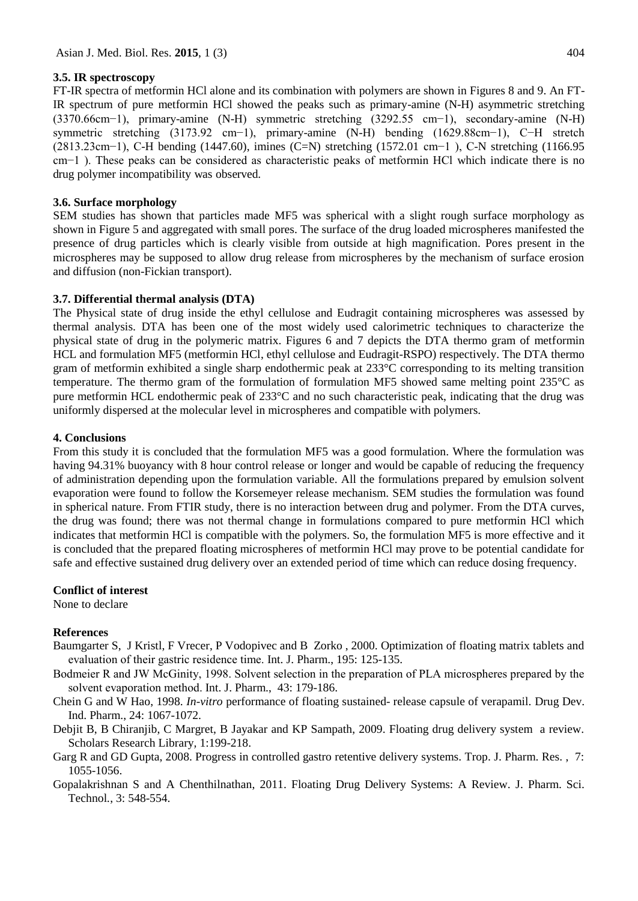### **3.5. IR spectroscopy**

FT-IR spectra of metformin HCl alone and its combination with polymers are shown in Figures 8 and 9. An FT-IR spectrum of pure metformin HCl showed the peaks such as primary-amine (N-H) asymmetric stretching (3370.66cm−1), primary-amine (N-H) symmetric stretching (3292.55 cm−1), secondary-amine (N-H) symmetric stretching (3173.92 cm−1), primary-amine (N-H) bending (1629.88cm−1), C−H stretch (2813.23cm−1), C-H bending (1447.60), imines (C=N) stretching (1572.01 cm−1 ), C-N stretching (1166.95 cm−1 ). These peaks can be considered as characteristic peaks of metformin HCl which indicate there is no drug polymer incompatibility was observed.

### **3.6. Surface morphology**

SEM studies has shown that particles made MF5 was spherical with a slight rough surface morphology as shown in Figure 5 and aggregated with small pores. The surface of the drug loaded microspheres manifested the presence of drug particles which is clearly visible from outside at high magnification. Pores present in the microspheres may be supposed to allow drug release from microspheres by the mechanism of surface erosion and diffusion (non-Fickian transport).

#### **3.7. Differential thermal analysis (DTA)**

The Physical state of drug inside the ethyl cellulose and Eudragit containing microspheres was assessed by thermal analysis. DTA has been one of the most widely used calorimetric techniques to characterize the physical state of drug in the polymeric matrix. Figures 6 and 7 depicts the DTA thermo gram of metformin HCL and formulation MF5 (metformin HCl, ethyl cellulose and Eudragit-RSPO) respectively. The DTA thermo gram of metformin exhibited a single sharp endothermic peak at 233°C corresponding to its melting transition temperature. The thermo gram of the formulation of formulation MF5 showed same melting point 235°C as pure metformin HCL endothermic peak of 233°C and no such characteristic peak, indicating that the drug was uniformly dispersed at the molecular level in microspheres and compatible with polymers.

#### **4. Conclusions**

From this study it is concluded that the formulation MF5 was a good formulation. Where the formulation was having 94.31% buoyancy with 8 hour control release or longer and would be capable of reducing the frequency of administration depending upon the formulation variable. All the formulations prepared by emulsion solvent evaporation were found to follow the Korsemeyer release mechanism. SEM studies the formulation was found in spherical nature. From FTIR study, there is no interaction between drug and polymer. From the DTA curves, the drug was found; there was not thermal change in formulations compared to pure metformin HCl which indicates that metformin HCl is compatible with the polymers. So, the formulation MF5 is more effective and it is concluded that the prepared floating microspheres of metformin HCl may prove to be potential candidate for safe and effective sustained drug delivery over an extended period of time which can reduce dosing frequency.

# **Conflict of interest**

None to declare

# **References**

- Baumgarter S, J Kristl, F Vrecer, P Vodopivec and B Zorko , 2000. Optimization of floating matrix tablets and evaluation of their gastric residence time. Int. J. Pharm., 195: 125-135.
- Bodmeier R and JW McGinity, 1998. Solvent selection in the preparation of PLA microspheres prepared by the solvent evaporation method. Int. J. Pharm., 43: 179-186.
- Chein G and W Hao, 1998. *In-vitro* performance of floating sustained- release capsule of verapamil. Drug Dev. Ind. Pharm., 24: 1067-1072.
- Debjit B, B Chiranjib, C Margret, B Jayakar and KP Sampath, 2009. Floating drug delivery system a review. Scholars Research Library*,* 1:199-218.
- Garg R and GD Gupta, 2008. Progress in controlled gastro retentive delivery systems. Trop. J. Pharm. Res. , 7: 1055-1056.
- Gopalakrishnan S and A Chenthilnathan, 2011. Floating Drug Delivery Systems: A Review. J. Pharm. Sci. Technol*.*, 3: 548-554.